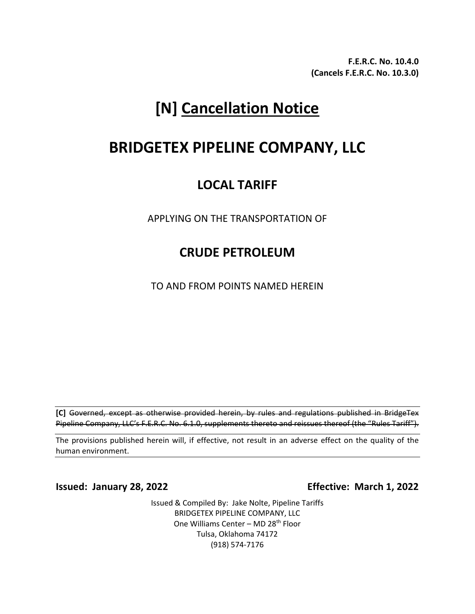**F.E.R.C. No. 10.4.0 (Cancels F.E.R.C. No. 10.3.0)**

# **[N] Cancellation Notice**

## **BRIDGETEX PIPELINE COMPANY, LLC**

## **LOCAL TARIFF**

APPLYING ON THE TRANSPORTATION OF

### **CRUDE PETROLEUM**

TO AND FROM POINTS NAMED HEREIN

**[C]** Governed, except as otherwise provided herein, by rules and regulations published in BridgeTex Pipeline Company, LLC's F.E.R.C. No. 6.1.0, supplements thereto and reissues thereof (the "Rules Tariff").

The provisions published herein will, if effective, not result in an adverse effect on the quality of the human environment.

**Issued: January 28, 2022 Effective: March 1, 2022**

Issued & Compiled By: Jake Nolte, Pipeline Tariffs BRIDGETEX PIPELINE COMPANY, LLC One Williams Center - MD 28<sup>th</sup> Floor Tulsa, Oklahoma 74172 (918) 574-7176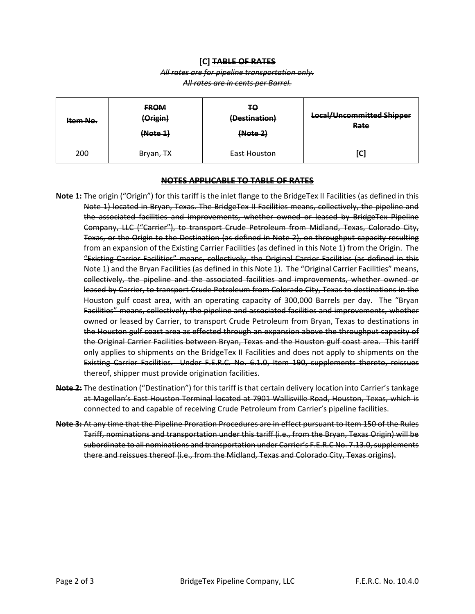#### **[C] TABLE OF RATES**

#### *All rates are for pipeline transportation only. All rates are in cents per Barrel.*

| Item No. | <b>FROM</b><br>(Origin)<br>(Note 1) | ŦΘ<br>(Destination)<br>(Note 2) | <b>Local/Uncommitted Shipper</b><br>Rate |
|----------|-------------------------------------|---------------------------------|------------------------------------------|
| 200      | <del>Bryan, TX</del>                | East Houston                    | [C]                                      |

#### **NOTES APPLICABLE TO TABLE OF RATES**

- **Note 1:** The origin ("Origin") for this tariff is the inlet flange to the BridgeTex II Facilities (as defined in this Note 1) located in Bryan, Texas. The BridgeTex II Facilities means, collectively, the pipeline and the associated facilities and improvements, whether owned or leased by BridgeTex Pipeline Company, LLC ("Carrier"), to transport Crude Petroleum from Midland, Texas, Colorado City, Texas, or the Origin to the Destination (as defined in Note 2), on throughput capacity resulting from an expansion of the Existing Carrier Facilities (as defined in this Note 1) from the Origin. The "Existing Carrier Facilities" means, collectively, the Original Carrier Facilities (as defined in this Note 1) and the Bryan Facilities (as defined in this Note 1). The "Original Carrier Facilities" means, collectively, the pipeline and the associated facilities and improvements, whether owned or leased by Carrier, to transport Crude Petroleum from Colorado City, Texas to destinations in the Houston gulf coast area, with an operating capacity of 300,000 Barrels per day. The "Bryan Facilities" means, collectively, the pipeline and associated facilities and improvements, whether owned or leased by Carrier, to transport Crude Petroleum from Bryan, Texas to destinations in the Houston gulf coast area as effected through an expansion above the throughput capacity of the Original Carrier Facilities between Bryan, Texas and the Houston gulf coast area. This tariff only applies to shipments on the BridgeTex II Facilities and does not apply to shipments on the Existing Carrier Facilities. Under F.E.R.C. No. 6.1.0, Item 190, supplements thereto, reissues thereof, shipper must provide origination facilities.
- **Note 2:** The destination ("Destination") for this tariff is that certain delivery location into Carrier's tankage at Magellan's East Houston Terminal located at 7901 Wallisville Road, Houston, Texas, which is connected to and capable of receiving Crude Petroleum from Carrier's pipeline facilities.
- **Note 3:** At any time that the Pipeline Proration Procedures are in effect pursuant to Item 150 of the Rules Tariff, nominations and transportation under this tariff (i.e., from the Bryan, Texas Origin) will be subordinate to all nominations and transportation under Carrier's F.E.R.C No. 7.13.0, supplements there and reissues thereof (i.e., from the Midland, Texas and Colorado City, Texas origins).